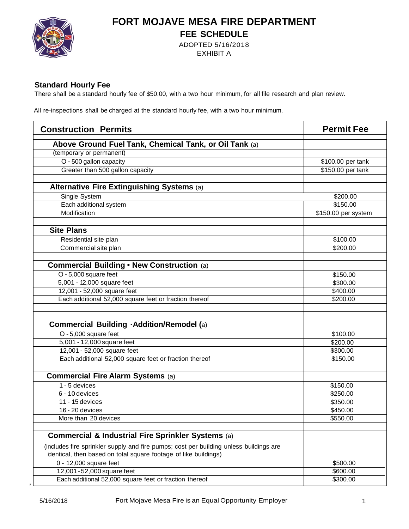

### **FORT MOJAVE MESA FIRE DEPARTMENT FEE SCHEDULE**

ADOPTED 5/16/2018 EXHIBIT A

#### **Standard Hourly Fee**

There shall be a standard hourly fee of \$50.00, with a two hour minimum, for all file research and plan review.

All re-inspections shall be charged at the standard hourly fee, with a two hour minimum.

| <b>Construction Permits</b>                                                            | <b>Permit Fee</b>   |
|----------------------------------------------------------------------------------------|---------------------|
| Above Ground Fuel Tank, Chemical Tank, or Oil Tank (a)                                 |                     |
| (temporary or permanent)                                                               |                     |
| O - 500 gallon capacity                                                                | \$100.00 per tank   |
| Greater than 500 gallon capacity                                                       | \$150.00 per tank   |
|                                                                                        |                     |
| Alternative Fire Extinguishing Systems (a)                                             |                     |
| Single System                                                                          | \$200.00            |
| Each additional system                                                                 | \$150.00            |
| Modification                                                                           | \$150.00 per system |
|                                                                                        |                     |
| <b>Site Plans</b>                                                                      |                     |
| Residential site plan                                                                  | \$100.00            |
| Commercial site plan                                                                   | \$200.00            |
|                                                                                        |                     |
| <b>Commercial Building . New Construction (a)</b>                                      |                     |
| O - 5,000 square feet                                                                  | \$150.00            |
| 5,001 - 12,000 square feet                                                             | \$300.00            |
| 12,001 - 52,000 square feet                                                            | \$400.00            |
| Each additional 52,000 square feet or fraction thereof                                 | \$200.00            |
|                                                                                        |                     |
|                                                                                        |                     |
| <b>Commercial Building . Addition/Remodel (a)</b>                                      |                     |
| O - 5,000 square feet                                                                  | \$100.00            |
| 5,001 - 12,000 square feet                                                             | \$200.00            |
| 12,001 - 52,000 square feet                                                            | \$300.00            |
| Each additional 52,000 square feet or fraction thereof                                 | \$150.00            |
|                                                                                        |                     |
| <b>Commercial Fire Alarm Systems (a)</b>                                               |                     |
| 1 - 5 devices                                                                          | \$150.00            |
| 6 - 10 devices                                                                         | \$250.00            |
| 11 - 15 devices                                                                        | \$350.00            |
| 16 - 20 devices                                                                        | \$450.00            |
| More than 20 devices                                                                   | \$550.00            |
| Commercial & Industrial Fire Sprinkler Systems (a)                                     |                     |
| (includes fire sprinkler supply and fire pumps; cost per building unless buildings are |                     |
| identical, then based on total square footage of like buildings)                       |                     |
| 0 - 12,000 square feet                                                                 | \$500.00            |
| 12,001 - 52,000 square feet                                                            | \$600.00            |
| Each additional 52,000 square feet or fraction thereof                                 | \$300.00            |

,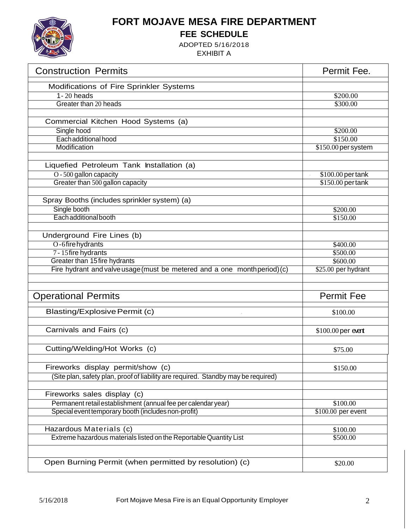

# **FORT MOJAVE MESA FIRE DEPARTMENT**

**FEE SCHEDULE**

ADOPTED 5/16/2018 EXHIBIT A

| <b>Construction Permits</b>                                                        | Permit Fee.          |
|------------------------------------------------------------------------------------|----------------------|
| Modifications of Fire Sprinkler Systems                                            |                      |
| $1 - 20$ heads                                                                     | $\overline{$}200.00$ |
| Greater than 20 heads                                                              | \$300.00             |
|                                                                                    |                      |
| Commercial Kitchen Hood Systems (a)                                                |                      |
| Single hood                                                                        | \$200.00             |
| Each additional hood                                                               | \$150.00             |
| Modification                                                                       | \$150.00 per system  |
|                                                                                    |                      |
| Liquefied Petroleum Tank Installation (a)                                          |                      |
| O - 500 gallon capacity                                                            | \$100.00 per tank    |
| Greater than 500 gallon capacity                                                   | $$150.00$ pertank    |
|                                                                                    |                      |
| Spray Booths (includes sprinkler system) (a)                                       |                      |
| Single booth                                                                       | \$200.00             |
| Each additional booth                                                              | \$150.00             |
|                                                                                    |                      |
| Underground Fire Lines (b)                                                         |                      |
| O-6firehydrants                                                                    | \$400.00             |
| 7 - 15 fire hydrants                                                               | \$500.00             |
| Greater than 15 fire hydrants                                                      | \$600.00             |
| Fire hydrant and valve usage (must be metered and a one month period) (c)          | \$25.00 per hydrant  |
|                                                                                    |                      |
|                                                                                    |                      |
| <b>Operational Permits</b>                                                         | <b>Permit Fee</b>    |
| <b>Blasting/Explosive Permit (c)</b>                                               | \$100.00             |
|                                                                                    |                      |
| Carnivals and Fairs (c)                                                            | \$100.00 per event   |
|                                                                                    |                      |
| Cutting/Welding/Hot Works (c)                                                      | \$75.00              |
|                                                                                    |                      |
| Fireworks display permit/show (c)                                                  | \$150.00             |
| (Site plan, safety plan, proof of liability are required. Standby may be required) |                      |
|                                                                                    |                      |
| Fireworks sales display (c)                                                        |                      |
| Permanent retail establishment (annual fee per calendar year)                      | \$100.00             |
| Special event temporary booth (includes non-profit)                                | $$100.00$ per event  |
|                                                                                    |                      |
| Hazardous Materials (c)                                                            | \$100.00             |
| Extreme hazardous materials listed on the Reportable Quantity List                 | \$500.00             |
|                                                                                    |                      |
|                                                                                    |                      |
| Open Burning Permit (when permitted by resolution) (c)                             | \$20.00              |
|                                                                                    |                      |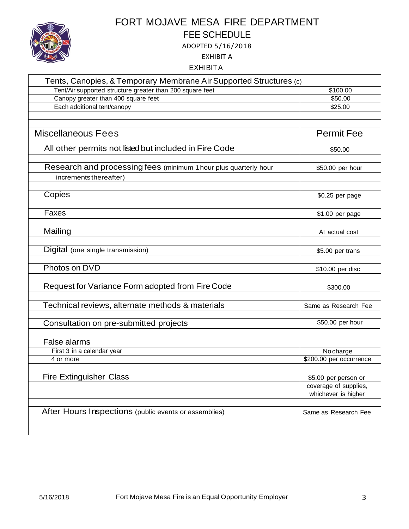

# FORT MOJAVE MESA FIRE DEPARTMENT FEE SCHEDULE

ADOPTED 5/16/2018

EXHIBIT A

EXHIBITA

| Tents, Canopies, & Temporary Membrane Air Supported Structures (c)                         |                         |
|--------------------------------------------------------------------------------------------|-------------------------|
| Tent/Air supported structure greater than 200 square feet                                  | \$100.00                |
| Canopy greater than 400 square feet                                                        | \$50.00                 |
| Each additional tent/canopy                                                                | \$25.00                 |
| <b>Miscellaneous Fees</b>                                                                  | <b>Permit Fee</b>       |
| All other permits not listed but included in Fire Code                                     | \$50.00                 |
| Research and processing fees (minimum 1 hour plus quarterly hour<br>increments thereafter) | \$50.00 per hour        |
|                                                                                            |                         |
| Copies                                                                                     | \$0.25 per page         |
| Faxes                                                                                      | \$1.00 per page         |
| Mailing                                                                                    | At actual cost          |
| Digital (one single transmission)                                                          | \$5.00 per trans        |
| Photos on DVD                                                                              | \$10.00 per disc        |
| Request for Variance Form adopted from Fire Code                                           | \$300.00                |
| Technical reviews, alternate methods & materials                                           | Same as Research Fee    |
| Consultation on pre-submitted projects                                                     | \$50.00 per hour        |
| False alarms                                                                               |                         |
| First 3 in a calendar year                                                                 | No charge               |
| 4 or more                                                                                  | \$200.00 per occurrence |
| <b>Fire Extinguisher Class</b>                                                             | \$5.00 per person or    |
|                                                                                            | coverage of supplies,   |
|                                                                                            | whichever is higher     |
| After Hours Inspections (public events or assemblies)                                      | Same as Research Fee    |